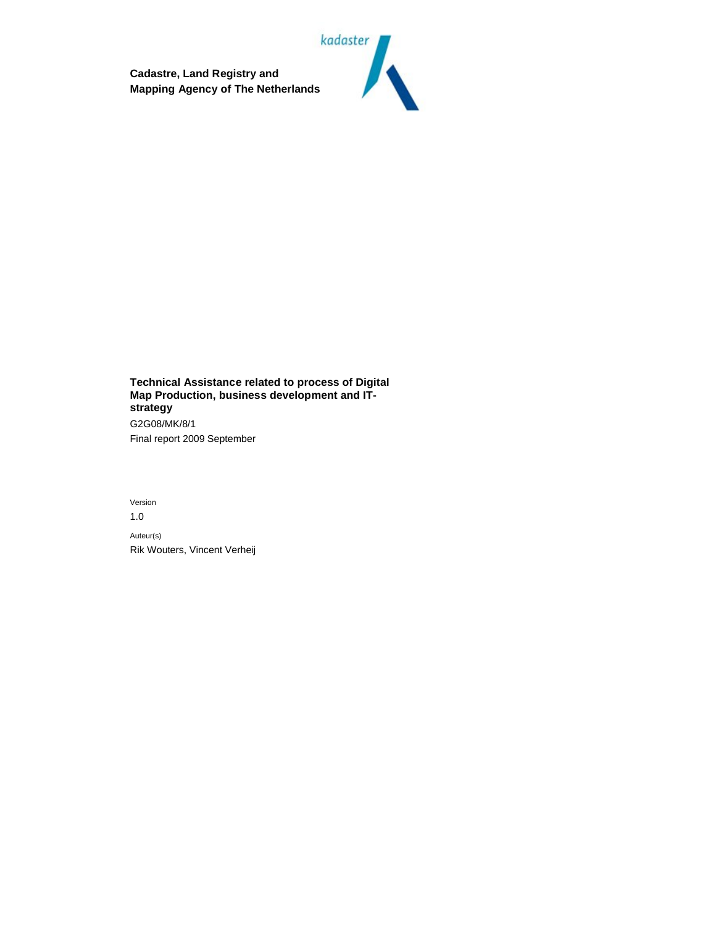**Cadastre, Land Registry and Mapping Agency of The Netherlands**



**Technical Assistance related to process of Digital Map Production, business development and ITstrategy** G2G08/MK/8/1 Final report 2009 September

Version 1.0 Auteur(s) Rik Wouters, Vincent Verheij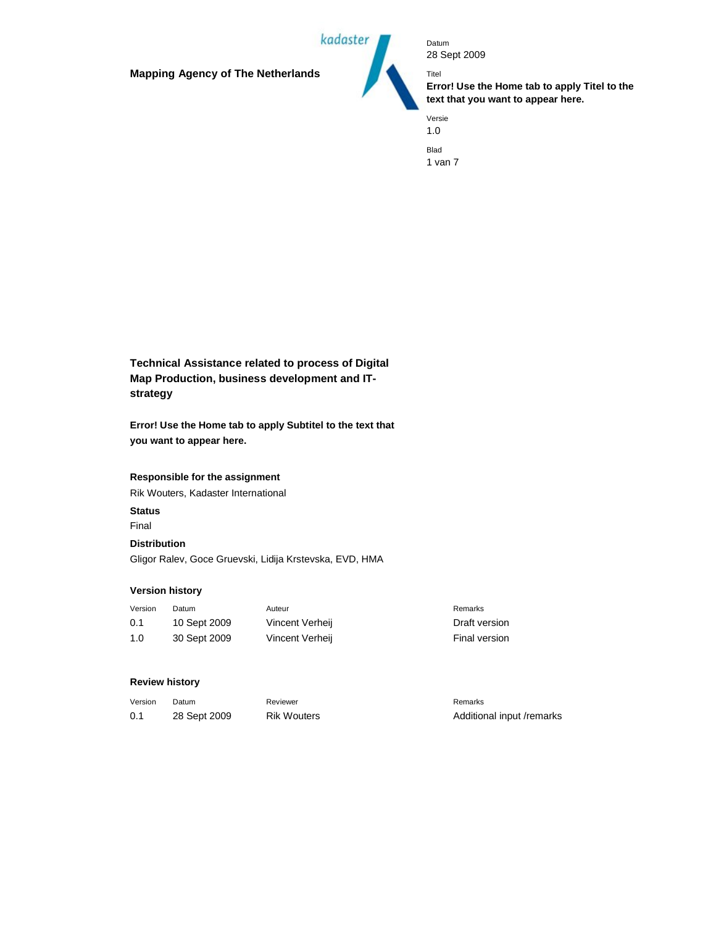**Mapping Agency of The Netherlands**



Datum 28 Sept 2009

**Error! Use the Home tab to apply Titel to the text that you want to appear here.**

Versie 1.0 Blad 1 van 7

Titel

**Technical Assistance related to process of Digital Map Production, business development and ITstrategy**

**Error! Use the Home tab to apply Subtitel to the text that you want to appear here.**

#### **Responsible for the assignment**

Rik Wouters, Kadaster International

# **Status**

Final

#### **Distribution**

Gligor Ralev, Goce Gruevski, Lidija Krstevska, EVD, HMA

# **Version history**

| Version | Datum        | Auteur          | Remarks       |
|---------|--------------|-----------------|---------------|
| 0.1     | 10 Sept 2009 | Vincent Verheij | Draft version |
| 1.0     | 30 Sept 2009 | Vincent Verheij | Final version |

#### **Review history**

| Version | Datum        | Reviewer           | Remarks                   |
|---------|--------------|--------------------|---------------------------|
| 0.1     | 28 Sept 2009 | <b>Rik Wouters</b> | Additional input /remarks |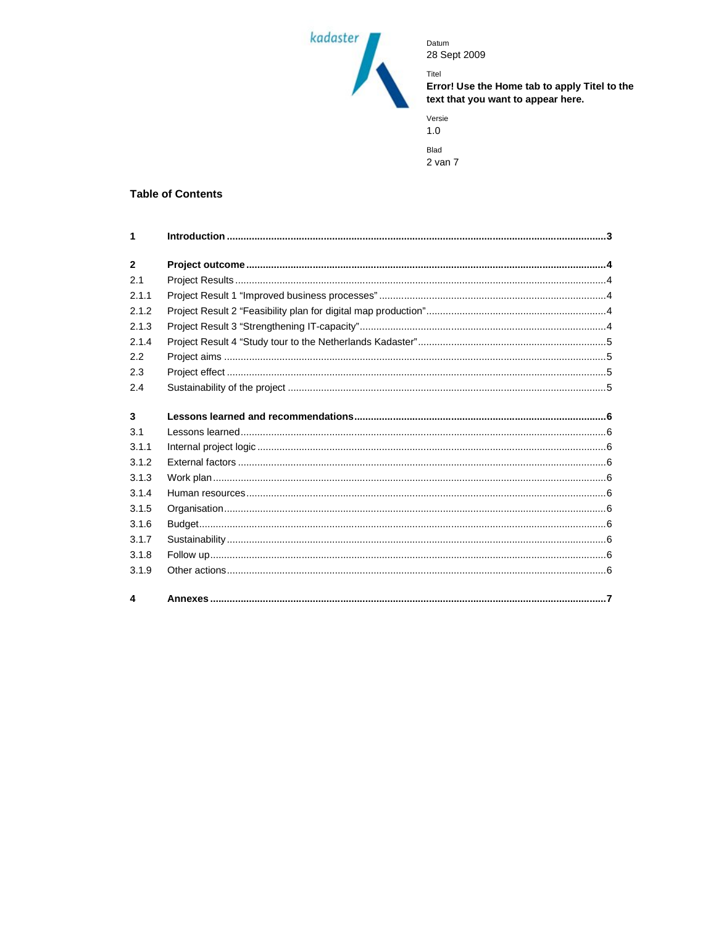

Titel Error! Use the Home tab to apply Titel to the<br>text that you want to appear here.

| Versie<br>1.0 |  |
|---------------|--|
| Blad          |  |
| 2 van 7       |  |

# **Table of Contents**

| 1              |  |
|----------------|--|
|                |  |
| $\overline{2}$ |  |
| 2.1            |  |
| 2.1.1          |  |
| 2.1.2          |  |
| 2.1.3          |  |
| 2.1.4          |  |
| 2.2            |  |
| 2.3            |  |
| 2.4            |  |
|                |  |
| 3              |  |
| 3.1            |  |
| 3.1.1          |  |
| 3.1.2          |  |
| 3.1.3          |  |
| 3.1.4          |  |
| 3.1.5          |  |
| 3.1.6          |  |
| 3.1.7          |  |
| 3.1.8          |  |
| 3.1.9          |  |
|                |  |
| 4              |  |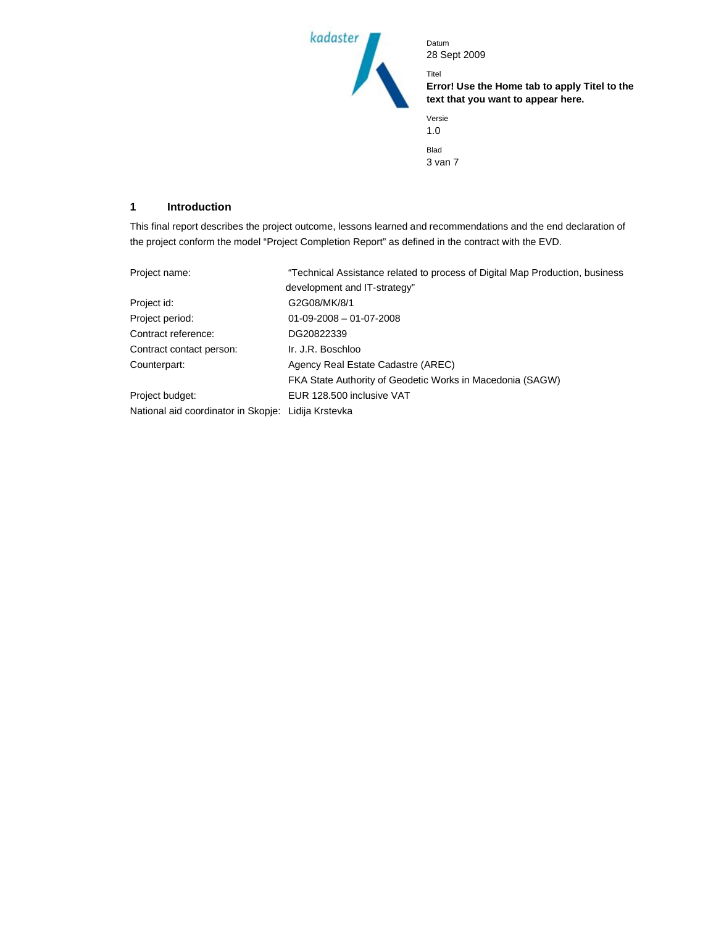

**Error! Use the Home tab to apply Titel to the text that you want to appear here.**

| Versie<br>1.0 |  |
|---------------|--|
| Blad          |  |
| 3 van 7       |  |

Titel

# **1 Introduction**

This final report describes the project outcome, lessons learned and recommendations and the end declaration of the project conform the model "Project Completion Report" as defined in the contract with the EVD.

| Project name:                                       | "Technical Assistance related to process of Digital Map Production, business |  |
|-----------------------------------------------------|------------------------------------------------------------------------------|--|
|                                                     | development and IT-strategy"                                                 |  |
| Project id:                                         | G2G08/MK/8/1                                                                 |  |
| Project period:                                     | $01-09-2008 - 01-07-2008$                                                    |  |
| Contract reference:                                 | DG20822339                                                                   |  |
| Contract contact person:                            | Ir. J.R. Boschloo                                                            |  |
| Counterpart:                                        | Agency Real Estate Cadastre (AREC)                                           |  |
|                                                     | FKA State Authority of Geodetic Works in Macedonia (SAGW)                    |  |
| Project budget:                                     | EUR 128,500 inclusive VAT                                                    |  |
| National aid coordinator in Skopje: Lidija Krstevka |                                                                              |  |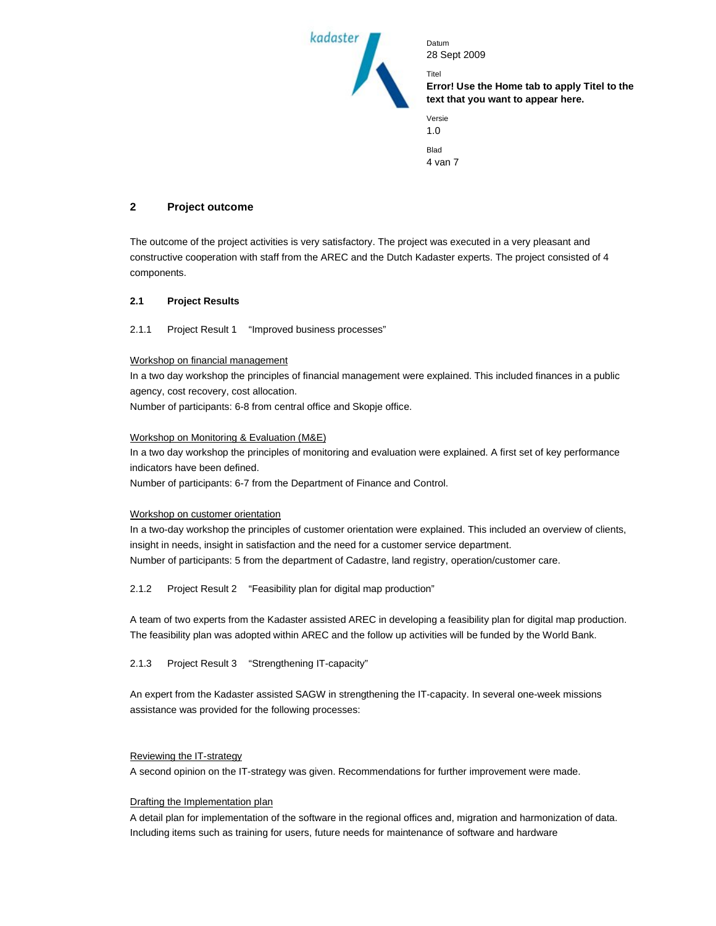

**Error! Use the Home tab to apply Titel to the text that you want to appear here.**

| Versie  |  |
|---------|--|
| 1.0     |  |
|         |  |
| Blad    |  |
| 4 van 7 |  |

Titel

# **2 Project outcome**

The outcome of the project activities is very satisfactory. The project was executed in a very pleasant and constructive cooperation with staff from the AREC and the Dutch Kadaster experts. The project consisted of 4 components.

## **2.1 Project Results**

## 2.1.1 Project Result 1 "Improved business processes"

## Workshop on financial management

In a two day workshop the principles of financial management were explained. This included finances in a public agency, cost recovery, cost allocation.

Number of participants: 6-8 from central office and Skopje office.

## Workshop on Monitoring & Evaluation (M&E)

In a two day workshop the principles of monitoring and evaluation were explained. A first set of key performance indicators have been defined.

Number of participants: 6-7 from the Department of Finance and Control.

#### Workshop on customer orientation

In a two-day workshop the principles of customer orientation were explained. This included an overview of clients, insight in needs, insight in satisfaction and the need for a customer service department. Number of participants: 5 from the department of Cadastre, land registry, operation/customer care.

# 2.1.2 Project Result 2 "Feasibility plan for digital map production"

A team of two experts from the Kadaster assisted AREC in developing a feasibility plan for digital map production. The feasibility plan was adopted within AREC and the follow up activities will be funded by the World Bank.

2.1.3 Project Result 3 "Strengthening IT-capacity"

An expert from the Kadaster assisted SAGW in strengthening the IT-capacity. In several one-week missions assistance was provided for the following processes:

#### Reviewing the IT-strategy

A second opinion on the IT-strategy was given. Recommendations for further improvement were made.

# Drafting the Implementation plan

A detail plan for implementation of the software in the regional offices and, migration and harmonization of data. Including items such as training for users, future needs for maintenance of software and hardware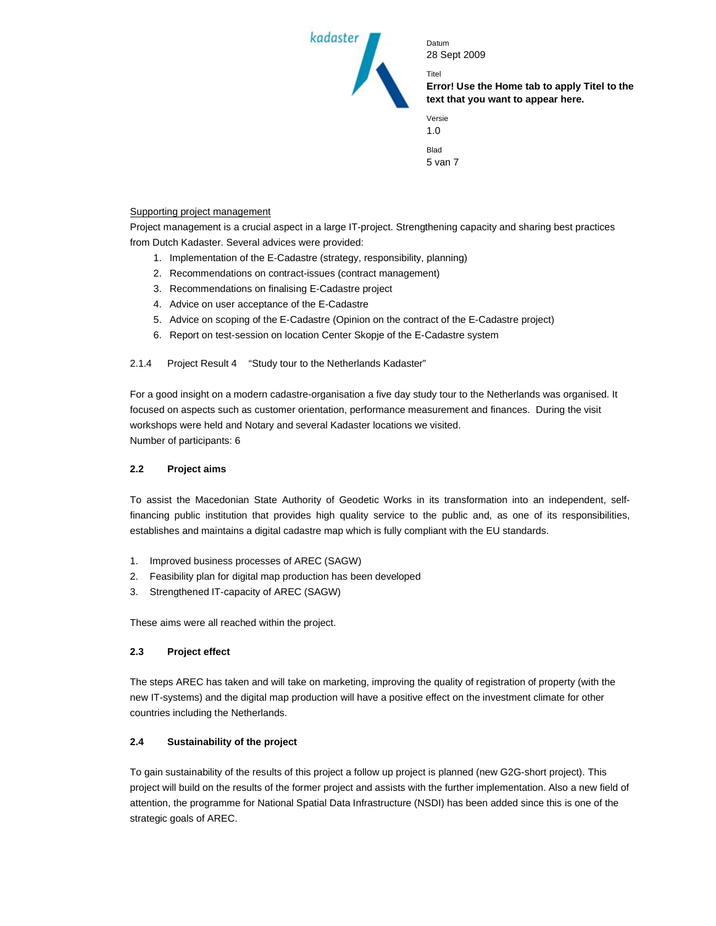

**Error! Use the Home tab to apply Titel to the text that you want to appear here.**

| Versie  |  |
|---------|--|
| 1.0     |  |
| Blad    |  |
| 5 van 7 |  |

Titel

## Supporting project management

Project management is a crucial aspect in a large IT-project. Strengthening capacity and sharing best practices from Dutch Kadaster. Several advices were provided:

- 1. Implementation of the E-Cadastre (strategy, responsibility, planning)
- 2. Recommendations on contract-issues (contract management)
- 3. Recommendations on finalising E-Cadastre project
- 4. Advice on user acceptance of the E-Cadastre
- 5. Advice on scoping of the E-Cadastre (Opinion on the contract of the E-Cadastre project)
- 6. Report on test-session on location Center Skopje of the E-Cadastre system

# 2.1.4 Project Result 4 "Study tour to the Netherlands Kadaster"

For a good insight on a modern cadastre-organisation a five day study tour to the Netherlands was organised. It focused on aspects such as customer orientation, performance measurement and finances. During the visit workshops were held and Notary and several Kadaster locations we visited. Number of participants: 6

# **2.2 Project aims**

To assist the Macedonian State Authority of Geodetic Works in its transformation into an independent, selffinancing public institution that provides high quality service to the public and, as one of its responsibilities, establishes and maintains a digital cadastre map which is fully compliant with the EU standards.

- 1. Improved business processes of AREC (SAGW)
- 2. Feasibility plan for digital map production has been developed
- 3. Strengthened IT-capacity of AREC (SAGW)

These aims were all reached within the project.

# **2.3 Project effect**

The steps AREC has taken and will take on marketing, improving the quality of registration of property (with the new IT-systems) and the digital map production will have a positive effect on the investment climate for other countries including the Netherlands.

# **2.4 Sustainability of the project**

To gain sustainability of the results of this project a follow up project is planned (new G2G-short project). This project will build on the results of the former project and assists with the further implementation. Also a new field of attention, the programme for National Spatial Data Infrastructure (NSDI) has been added since this is one of the strategic goals of AREC.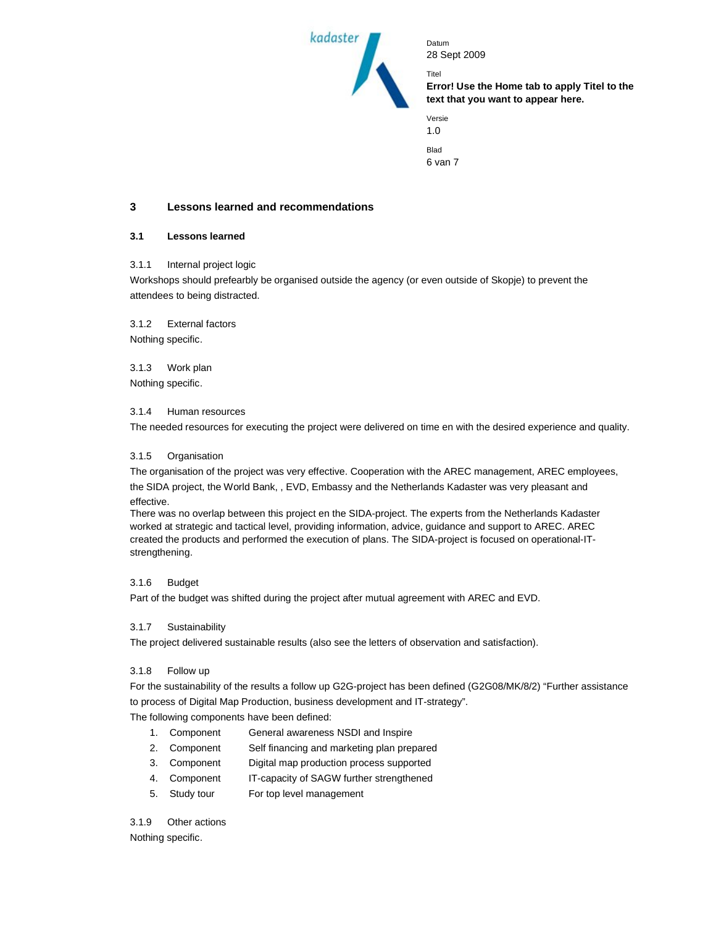

**Error! Use the Home tab to apply Titel to the text that you want to appear here.**

| Versie  |  |
|---------|--|
| 1.0     |  |
|         |  |
| Blad    |  |
| 6 van 7 |  |

Titel

# **3 Lessons learned and recommendations**

#### **3.1 Lessons learned**

#### 3.1.1 Internal project logic

Workshops should prefearbly be organised outside the agency (or even outside of Skopje) to prevent the attendees to being distracted.

3.1.2 External factors Nothing specific.

3.1.3 Work plan Nothing specific.

3.1.4 Human resources

The needed resources for executing the project were delivered on time en with the desired experience and quality.

#### 3.1.5 Organisation

The organisation of the project was very effective. Cooperation with the AREC management, AREC employees, the SIDA project, the World Bank, , EVD, Embassy and the Netherlands Kadaster was very pleasant and

effective.

There was no overlap between this project en the SIDA-project. The experts from the Netherlands Kadaster worked at strategic and tactical level, providing information, advice, guidance and support to AREC. AREC created the products and performed the execution of plans. The SIDA-project is focused on operational-ITstrengthening.

#### 3.1.6 Budget

Part of the budget was shifted during the project after mutual agreement with AREC and EVD.

#### 3.1.7 Sustainability

The project delivered sustainable results (also see the letters of observation and satisfaction).

#### 3.1.8 Follow up

For the sustainability of the results a follow up G2G-project has been defined (G2G08/MK/8/2) "Further assistance to process of Digital Map Production, business development and IT-strategy".

The following components have been defined:

- 1. Component General awareness NSDI and Inspire
- 2. Component Self financing and marketing plan prepared
- 3. Component Digital map production process supported
- 4. Component IT-capacity of SAGW further strengthened
- 5. Study tour For top level management

#### 3.1.9 Other actions

Nothing specific.